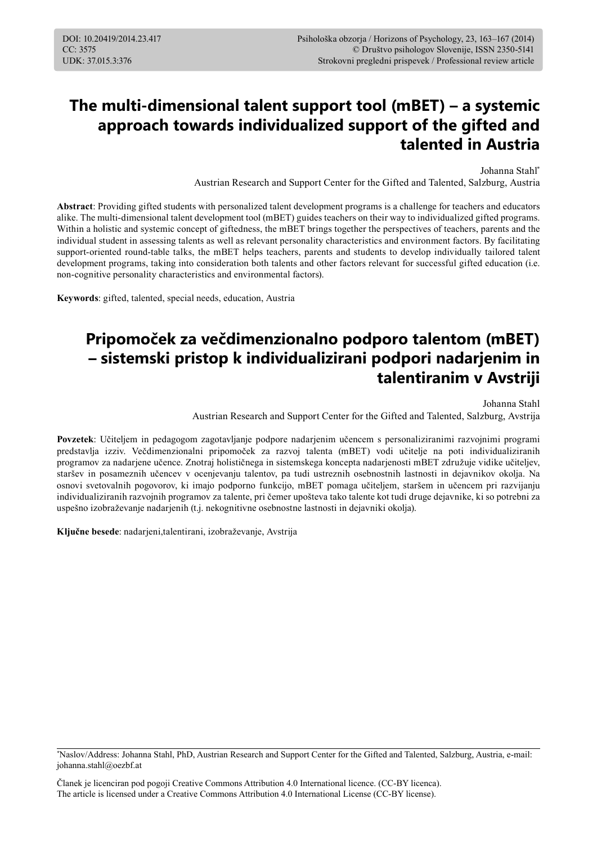# **The multi-dimensional talent support tool (mBET) – a systemic approach towards individualized support of the gifted and talented in Austria**

Johanna Stahl\*

Austrian Research and Support Center for the Gifted and Talented, Salzburg, Austria

**Abstract**: Providing gifted students with personalized talent development programs is a challenge for teachers and educators alike. The multi-dimensional talent development tool (mBET) guides teachers on their way to individualized gifted programs. Within a holistic and systemic concept of giftedness, the mBET brings together the perspectives of teachers, parents and the individual student in assessing talents as well as relevant personality characteristics and environment factors. By facilitating support-oriented round-table talks, the mBET helps teachers, parents and students to develop individually tailored talent development programs, taking into consideration both talents and other factors relevant for successful gifted education (i.e. non-cognitive personality characteristics and environmental factors).

**Keywords**: gifted, talented, special needs, education, Austria

# **Pripomoček za večdimenzionalno podporo talentom (mBET) – sistemski pristop k individualizirani podpori nadarjenim in talentiranim v Avstriji**

Johanna Stahl

Austrian Research and Support Center for the Gifted and Talented, Salzburg, Avstrija

**Povzetek**: Učiteljem in pedagogom zagotavljanje podpore nadarjenim učencem s personaliziranimi razvojnimi programi predstavlja izziv. Večdimenzionalni pripomoček za razvoj talenta (mBET) vodi učitelje na poti individualiziranih programov za nadarjene učence. Znotraj holističnega in sistemskega koncepta nadarjenosti mBET združuje vidike učiteljev, staršev in posameznih učencev v ocenjevanju talentov, pa tudi ustreznih osebnostnih lastnosti in dejavnikov okolja. Na osnovi svetovalnih pogovorov, ki imajo podporno funkcijo, mBET pomaga učiteljem, staršem in učencem pri razvijanju individualiziranih razvojnih programov za talente, pri čemer upošteva tako talente kot tudi druge dejavnike, ki so potrebni za uspešno izobraževanje nadarjenih (t.j. nekognitivne osebnostne lastnosti in dejavniki okolja).

**Ključne besede**: nadarjeni,talentirani, izobraževanje, Avstrija

<sup>\*</sup> Naslov/Address: Johanna Stahl, PhD, Austrian Research and Support Center for the Gifted and Talented, Salzburg, Austria, e-mail: johanna.stahl@oezbf.at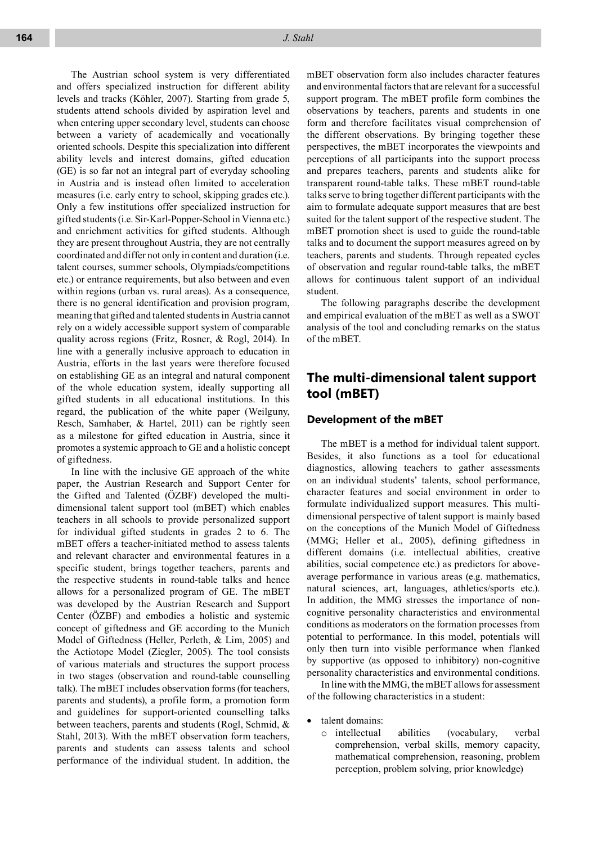The Austrian school system is very differentiated and offers specialized instruction for different ability levels and tracks (Köhler, 2007). Starting from grade 5, students attend schools divided by aspiration level and when entering upper secondary level, students can choose between a variety of academically and vocationally oriented schools. Despite this specialization into different ability levels and interest domains, gifted education (GE) is so far not an integral part of everyday schooling in Austria and is instead often limited to acceleration measures (i.e. early entry to school, skipping grades etc.). Only a few institutions offer specialized instruction for gifted students (i.e. Sir-Karl-Popper-School in Vienna etc.) and enrichment activities for gifted students. Although they are present throughout Austria, they are not centrally coordinated and differ not only in content and duration (i.e. talent courses, summer schools, Olympiads/competitions etc.) or entrance requirements, but also between and even within regions (urban vs. rural areas). As a consequence, there is no general identification and provision program, meaning that gifted and talented students in Austria cannot rely on a widely accessible support system of comparable quality across regions (Fritz, Rosner, & Rogl, 2014). In line with a generally inclusive approach to education in Austria, efforts in the last years were therefore focused on establishing GE as an integral and natural component of the whole education system, ideally supporting all gifted students in all educational institutions. In this regard, the publication of the white paper (Weilguny, Resch, Samhaber, & Hartel, 2011) can be rightly seen as a milestone for gifted education in Austria, since it promotes a systemic approach to GE and a holistic concept of giftedness.

In line with the inclusive GE approach of the white paper, the Austrian Research and Support Center for the Gifted and Talented (ÖZBF) developed the multidimensional talent support tool (mBET) which enables teachers in all schools to provide personalized support for individual gifted students in grades 2 to 6. The mBET offers a teacher-initiated method to assess talents and relevant character and environmental features in a specific student, brings together teachers, parents and the respective students in round-table talks and hence allows for a personalized program of GE. The mBET was developed by the Austrian Research and Support Center (ÖZBF) and embodies a holistic and systemic concept of giftedness and GE according to the Munich Model of Giftedness (Heller, Perleth, & Lim, 2005) and the Actiotope Model (Ziegler, 2005). The tool consists of various materials and structures the support process in two stages (observation and round-table counselling talk). The mBET includes observation forms (for teachers, parents and students), a profile form, a promotion form and guidelines for support-oriented counselling talks between teachers, parents and students (Rogl, Schmid, & Stahl, 2013). With the mBET observation form teachers, parents and students can assess talents and school performance of the individual student. In addition, the mBET observation form also includes character features and environmental factors that are relevant for a successful support program. The mBET profile form combines the observations by teachers, parents and students in one form and therefore facilitates visual comprehension of the different observations. By bringing together these perspectives, the mBET incorporates the viewpoints and perceptions of all participants into the support process and prepares teachers, parents and students alike for transparent round-table talks. These mBET round-table talks serve to bring together different participants with the aim to formulate adequate support measures that are best suited for the talent support of the respective student. The mBET promotion sheet is used to guide the round-table talks and to document the support measures agreed on by teachers, parents and students. Through repeated cycles of observation and regular round-table talks, the mBET allows for continuous talent support of an individual student.

The following paragraphs describe the development and empirical evaluation of the mBET as well as a SWOT analysis of the tool and concluding remarks on the status of the mBET.

## **The multi-dimensional talent support tool (mBET)**

#### **Development of the mBET**

The mBET is a method for individual talent support. Besides, it also functions as a tool for educational diagnostics, allowing teachers to gather assessments on an individual students' talents, school performance, character features and social environment in order to formulate individualized support measures. This multidimensional perspective of talent support is mainly based on the conceptions of the Munich Model of Giftedness (MMG; Heller et al., 2005), defining giftedness in different domains (i.e. intellectual abilities, creative abilities, social competence etc.) as predictors for aboveaverage performance in various areas (e.g. mathematics, natural sciences, art, languages, athletics/sports etc.). In addition, the MMG stresses the importance of noncognitive personality characteristics and environmental conditions as moderators on the formation processes from potential to performance. In this model, potentials will only then turn into visible performance when flanked by supportive (as opposed to inhibitory) non-cognitive personality characteristics and environmental conditions.

In line with the MMG, the mBET allows for assessment of the following characteristics in a student:

- talent domains:
	- o intellectual abilities (vocabulary, verbal comprehension, verbal skills, memory capacity, mathematical comprehension, reasoning, problem perception, problem solving, prior knowledge)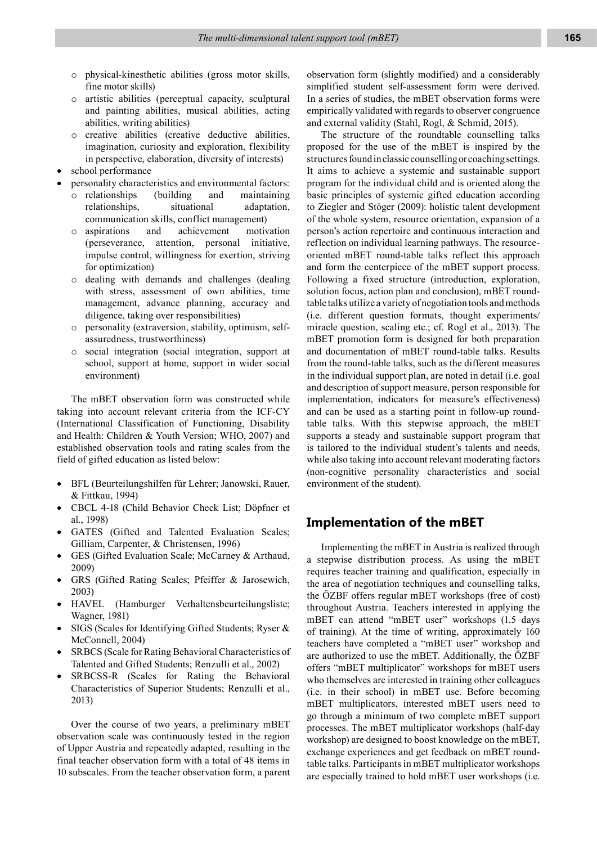- o physical-kinesthetic abilities (gross motor skills, fine motor skills)
- o artistic abilities (perceptual capacity, sculptural and painting abilities, musical abilities, acting abilities, writing abilities)
- o creative abilities (creative deductive abilities, imagination, curiosity and exploration, flexibility in perspective, elaboration, diversity of interests)
- school performance
- personality characteristics and environmental factors:
	- o relationships (building and maintaining relationships, situational adaptation, communication skills, conflict management)
	- o aspirations and achievement motivation (perseverance, attention, personal initiative, impulse control, willingness for exertion, striving for optimization)
	- o dealing with demands and challenges (dealing with stress, assessment of own abilities, time management, advance planning, accuracy and diligence, taking over responsibilities)
	- o personality (extraversion, stability, optimism, selfassuredness, trustworthiness)
	- o social integration (social integration, support at school, support at home, support in wider social environment)

The mBET observation form was constructed while taking into account relevant criteria from the ICF-CY (International Classification of Functioning, Disability and Health: Children & Youth Version; WHO, 2007) and established observation tools and rating scales from the field of gifted education as listed below:

- BFL (Beurteilungshilfen für Lehrer; Janowski, Rauer, & Fittkau, 1994)
- CBCL 4-18 (Child Behavior Check List; Döpfner et al., 1998)
- GATES (Gifted and Talented Evaluation Scales; Gilliam, Carpenter, & Christensen, 1996)
- GES (Gifted Evaluation Scale; McCarney & Arthaud, 2009)
- GRS (Gifted Rating Scales; Pfeiffer & Jarosewich, 2003)
- HAVEL (Hamburger Verhaltensbeurteilungsliste; Wagner, 1981)
- SIGS (Scales for Identifying Gifted Students; Ryser & McConnell, 2004)
- SRBCS (Scale for Rating Behavioral Characteristics of Talented and Gifted Students; Renzulli et al., 2002)
- SRBCSS-R (Scales for Rating the Behavioral Characteristics of Superior Students; Renzulli et al., 2013)

Over the course of two years, a preliminary mBET observation scale was continuously tested in the region of Upper Austria and repeatedly adapted, resulting in the final teacher observation form with a total of 48 items in 10 subscales. From the teacher observation form, a parent observation form (slightly modified) and a considerably simplified student self-assessment form were derived. In a series of studies, the mBET observation forms were empirically validated with regards to observer congruence and external validity (Stahl, Rogl, & Schmid, 2015).

The structure of the roundtable counselling talks proposed for the use of the mBET is inspired by the structures found in classic counselling or coaching settings. It aims to achieve a systemic and sustainable support program for the individual child and is oriented along the basic principles of systemic gifted education according to Ziegler and Stöger (2009): holistic talent development of the whole system, resource orientation, expansion of a person's action repertoire and continuous interaction and reflection on individual learning pathways. The resourceoriented mBET round-table talks reflect this approach and form the centerpiece of the mBET support process. Following a fixed structure (introduction, exploration, solution focus, action plan and conclusion), mBET roundtable talks utilize a variety of negotiation tools and methods (i.e. different question formats, thought experiments/ miracle question, scaling etc.; cf. Rogl et al., 2013). The mBET promotion form is designed for both preparation and documentation of mBET round-table talks. Results from the round-table talks, such as the different measures in the individual support plan, are noted in detail (i.e. goal and description of support measure, person responsible for implementation, indicators for measure's effectiveness) and can be used as a starting point in follow-up roundtable talks. With this stepwise approach, the mBET supports a steady and sustainable support program that is tailored to the individual student's talents and needs, while also taking into account relevant moderating factors (non-cognitive personality characteristics and social environment of the student).

## **Implementation of the mBET**

Implementing the mBET in Austria is realized through a stepwise distribution process. As using the mBET requires teacher training and qualification, especially in the area of negotiation techniques and counselling talks, the ÖZBF offers regular mBET workshops (free of cost) throughout Austria. Teachers interested in applying the mBET can attend "mBET user" workshops (1.5 days of training). At the time of writing, approximately 160 teachers have completed a "mBET user" workshop and are authorized to use the mBET. Additionally, the ÖZBF offers "mBET multiplicator" workshops for mBET users who themselves are interested in training other colleagues (i.e. in their school) in mBET use. Before becoming mBET multiplicators, interested mBET users need to go through a minimum of two complete mBET support processes. The mBET multiplicator workshops (half-day workshop) are designed to boost knowledge on the mBET, exchange experiences and get feedback on mBET roundtable talks. Participants in mBET multiplicator workshops are especially trained to hold mBET user workshops (i.e.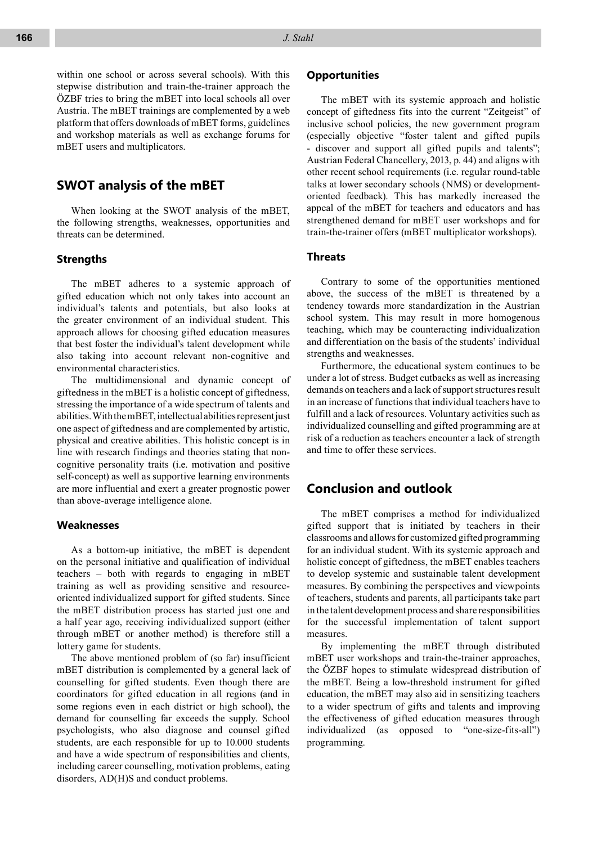within one school or across several schools). With this stepwise distribution and train-the-trainer approach the ÖZBF tries to bring the mBET into local schools all over Austria. The mBET trainings are complemented by a web platform that offers downloads of mBET forms, guidelines and workshop materials as well as exchange forums for mBET users and multiplicators.

### **SWOT analysis of the mBET**

When looking at the SWOT analysis of the mBET, the following strengths, weaknesses, opportunities and threats can be determined.

#### **Strengths**

The mBET adheres to a systemic approach of gifted education which not only takes into account an individual's talents and potentials, but also looks at the greater environment of an individual student. This approach allows for choosing gifted education measures that best foster the individual's talent development while also taking into account relevant non-cognitive and environmental characteristics.

The multidimensional and dynamic concept of giftedness in the mBET is a holistic concept of giftedness, stressing the importance of a wide spectrum of talents and abilities. With the mBET, intellectual abilities represent just one aspect of giftedness and are complemented by artistic, physical and creative abilities. This holistic concept is in line with research findings and theories stating that noncognitive personality traits (i.e. motivation and positive self-concept) as well as supportive learning environments are more influential and exert a greater prognostic power than above-average intelligence alone.

#### **Weaknesses**

As a bottom-up initiative, the mBET is dependent on the personal initiative and qualification of individual teachers – both with regards to engaging in mBET training as well as providing sensitive and resourceoriented individualized support for gifted students. Since the mBET distribution process has started just one and a half year ago, receiving individualized support (either through mBET or another method) is therefore still a lottery game for students.

The above mentioned problem of (so far) insufficient mBET distribution is complemented by a general lack of counselling for gifted students. Even though there are coordinators for gifted education in all regions (and in some regions even in each district or high school), the demand for counselling far exceeds the supply. School psychologists, who also diagnose and counsel gifted students, are each responsible for up to 10.000 students and have a wide spectrum of responsibilities and clients, including career counselling, motivation problems, eating disorders, AD(H)S and conduct problems.

#### **Opportunities**

The mBET with its systemic approach and holistic concept of giftedness fits into the current "Zeitgeist" of inclusive school policies, the new government program (especially objective "foster talent and gifted pupils - discover and support all gifted pupils and talents"; Austrian Federal Chancellery, 2013, p. 44) and aligns with other recent school requirements (i.e. regular round-table talks at lower secondary schools (NMS) or developmentoriented feedback). This has markedly increased the appeal of the mBET for teachers and educators and has strengthened demand for mBET user workshops and for train-the-trainer offers (mBET multiplicator workshops).

#### **Threats**

Contrary to some of the opportunities mentioned above, the success of the mBET is threatened by a tendency towards more standardization in the Austrian school system. This may result in more homogenous teaching, which may be counteracting individualization and differentiation on the basis of the students' individual strengths and weaknesses.

Furthermore, the educational system continues to be under a lot of stress. Budget cutbacks as well as increasing demands on teachers and a lack of support structures result in an increase of functions that individual teachers have to fulfill and a lack of resources. Voluntary activities such as individualized counselling and gifted programming are at risk of a reduction as teachers encounter a lack of strength and time to offer these services.

## **Conclusion and outlook**

The mBET comprises a method for individualized gifted support that is initiated by teachers in their classrooms and allows for customized gifted programming for an individual student. With its systemic approach and holistic concept of giftedness, the mBET enables teachers to develop systemic and sustainable talent development measures. By combining the perspectives and viewpoints of teachers, students and parents, all participants take part in the talent development process and share responsibilities for the successful implementation of talent support measures.

By implementing the mBET through distributed mBET user workshops and train-the-trainer approaches, the ÖZBF hopes to stimulate widespread distribution of the mBET. Being a low-threshold instrument for gifted education, the mBET may also aid in sensitizing teachers to a wider spectrum of gifts and talents and improving the effectiveness of gifted education measures through individualized (as opposed to "one-size-fits-all") programming.